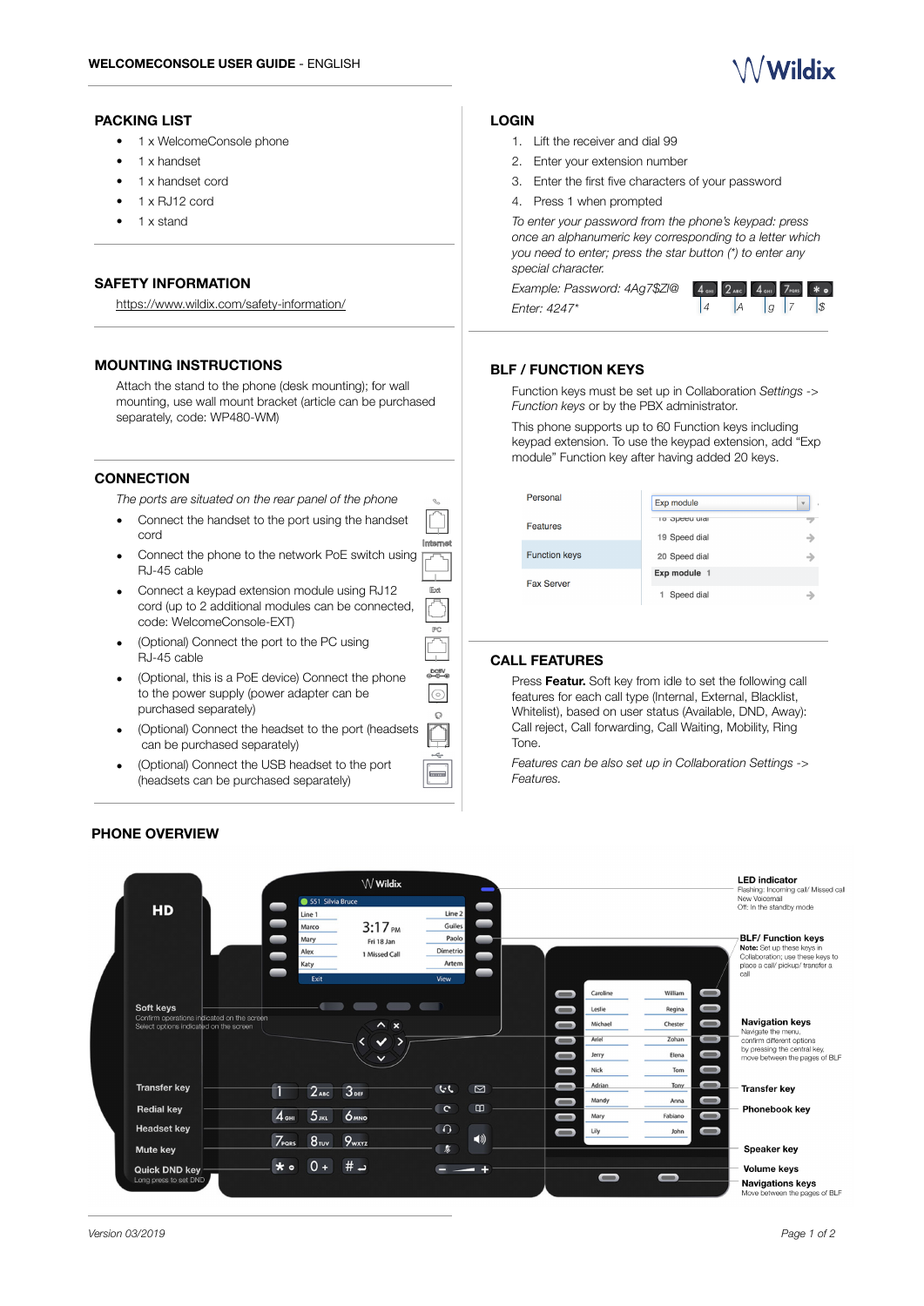

## **PACKING LIST**

- 1 x WelcomeConsole phone
- 1 x handset
- 1 x handset cord
- 1 x RJ12 cord
- 1 x stand

## **SAFETY INFORMATION**

<https://www.wildix.com/safety-information/>

# **MOUNTING INSTRUCTIONS**

Attach the stand to the phone (desk mounting); for wall mounting, use wall mount bracket (article can be purchased separately, code: WP480-WM)

## **CONNECTION**

*The ports are situated on the rear panel of the phone* 

- Connect the handset to the port using the handset cord
- Connect the phone to the network PoE switch using RJ-45 cable
- Connect a keypad extension module using RJ12 cord (up to 2 additional modules can be connected, code: WelcomeConsole-EXT)
- (Optional) Connect the port to the PC using RJ-45 cable
- (Optional, this is a PoE device) Connect the phone to the power supply (power adapter can be purchased separately)
- (Optional) Connect the headset to the port (headsets can be purchased separately)
- (Optional) Connect the USB headset to the port (headsets can be purchased separately)

## **PHONE OVERVIEW**

## **LOGIN**

- 1. Lift the receiver and dial 99
- 2. Enter your extension number
- 3. Enter the first five characters of your password
- 4. Press 1 when prompted

*To enter your password from the phone's keypad: press once an alphanumeric key corresponding to a letter which you need to enter; press the star button (\*) to enter any special character.* 

*Example: Password: 4Ag7\$Zl@ Enter: 4247\** 



## **BLF / FUNCTION KEYS**

Function keys must be set up in Collaboration *Settings -> Function keys* or by the PBX administrator.

This phone supports up to 60 Function keys including keypad extension. To use the keypad extension, add "Exp module" Function key after having added 20 keys.

| Personal             | Exp module           | $\overline{\mathbf{v}}$ |
|----------------------|----------------------|-------------------------|
| <b>Features</b>      | <b>10 Opeed uldi</b> |                         |
|                      | 19 Speed dial        | د                       |
| <b>Function keys</b> | 20 Speed dial        |                         |
| <b>Fax Server</b>    | Exp module 1         |                         |
|                      | Speed dial           |                         |

# **CALL FEATURES**

Press **Featur.** Soft key from idle to set the following call features for each call type (Internal, External, Blacklist, Whitelist), based on user status (Available, DND, Away): Call reject, Call forwarding, Call Waiting, Mobility, Ring Tone.

*Features can be also set up in Collaboration Settings -> Features.*



Internet

 $E_{\alpha}$ 

PC.

DCBV<br>©—©—©  $\sqrt{2}$  $\Omega$ 

 $\overline{}$